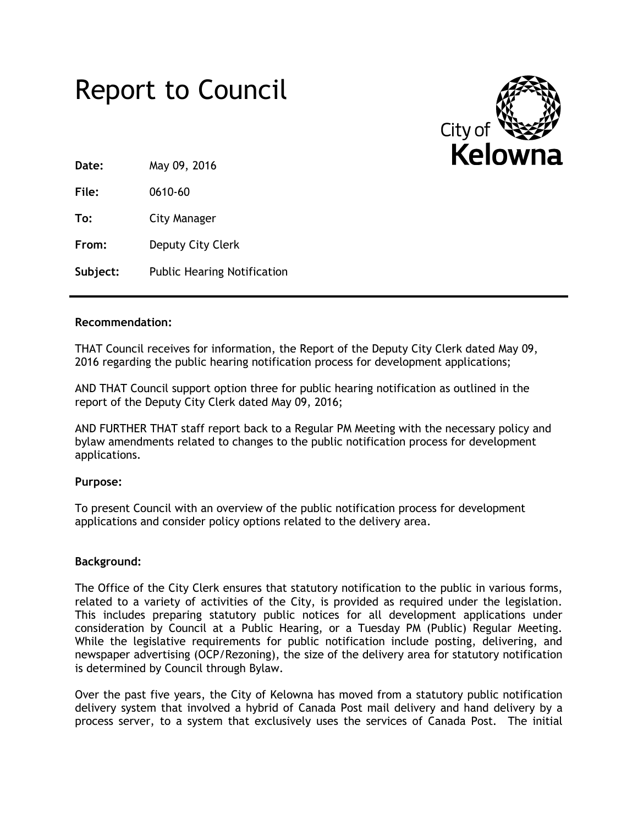



**Date:** May 09, 2016

**File:** 0610-60

**To:** City Manager

**From:** Deputy City Clerk

**Subject:** Public Hearing Notification

## **Recommendation:**

THAT Council receives for information, the Report of the Deputy City Clerk dated May 09, 2016 regarding the public hearing notification process for development applications;

AND THAT Council support option three for public hearing notification as outlined in the report of the Deputy City Clerk dated May 09, 2016;

AND FURTHER THAT staff report back to a Regular PM Meeting with the necessary policy and bylaw amendments related to changes to the public notification process for development applications.

# **Purpose:**

To present Council with an overview of the public notification process for development applications and consider policy options related to the delivery area.

# **Background:**

The Office of the City Clerk ensures that statutory notification to the public in various forms, related to a variety of activities of the City, is provided as required under the legislation. This includes preparing statutory public notices for all development applications under consideration by Council at a Public Hearing, or a Tuesday PM (Public) Regular Meeting. While the legislative requirements for public notification include posting, delivering, and newspaper advertising (OCP/Rezoning), the size of the delivery area for statutory notification is determined by Council through Bylaw.

Over the past five years, the City of Kelowna has moved from a statutory public notification delivery system that involved a hybrid of Canada Post mail delivery and hand delivery by a process server, to a system that exclusively uses the services of Canada Post. The initial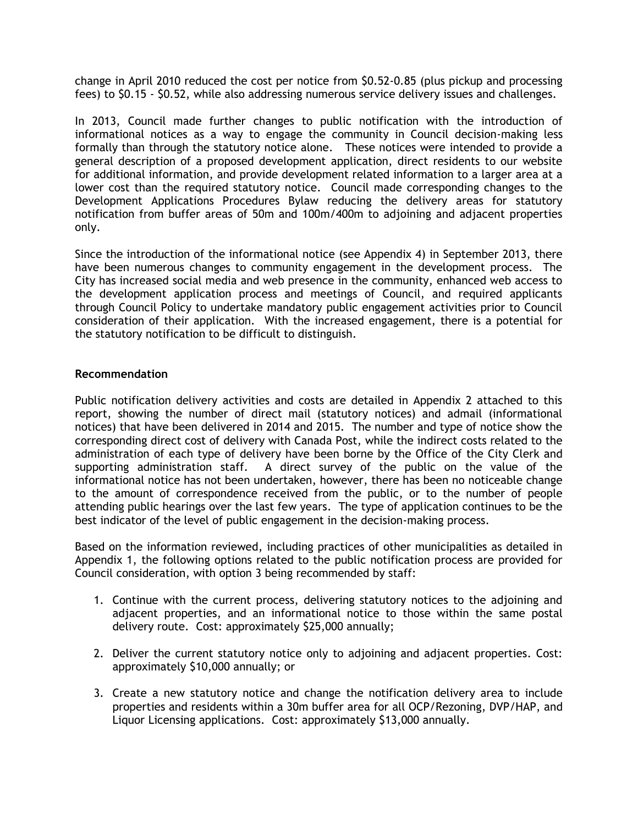change in April 2010 reduced the cost per notice from \$0.52-0.85 (plus pickup and processing fees) to \$0.15 - \$0.52, while also addressing numerous service delivery issues and challenges.

In 2013, Council made further changes to public notification with the introduction of informational notices as a way to engage the community in Council decision-making less formally than through the statutory notice alone. These notices were intended to provide a general description of a proposed development application, direct residents to our website for additional information, and provide development related information to a larger area at a lower cost than the required statutory notice. Council made corresponding changes to the Development Applications Procedures Bylaw reducing the delivery areas for statutory notification from buffer areas of 50m and 100m/400m to adjoining and adjacent properties only.

Since the introduction of the informational notice (see Appendix 4) in September 2013, there have been numerous changes to community engagement in the development process. The City has increased social media and web presence in the community, enhanced web access to the development application process and meetings of Council, and required applicants through Council Policy to undertake mandatory public engagement activities prior to Council consideration of their application. With the increased engagement, there is a potential for the statutory notification to be difficult to distinguish.

## **Recommendation**

Public notification delivery activities and costs are detailed in Appendix 2 attached to this report, showing the number of direct mail (statutory notices) and admail (informational notices) that have been delivered in 2014 and 2015. The number and type of notice show the corresponding direct cost of delivery with Canada Post, while the indirect costs related to the administration of each type of delivery have been borne by the Office of the City Clerk and supporting administration staff. A direct survey of the public on the value of the informational notice has not been undertaken, however, there has been no noticeable change to the amount of correspondence received from the public, or to the number of people attending public hearings over the last few years. The type of application continues to be the best indicator of the level of public engagement in the decision-making process.

Based on the information reviewed, including practices of other municipalities as detailed in Appendix 1, the following options related to the public notification process are provided for Council consideration, with option 3 being recommended by staff:

- 1. Continue with the current process, delivering statutory notices to the adjoining and adjacent properties, and an informational notice to those within the same postal delivery route. Cost: approximately \$25,000 annually;
- 2. Deliver the current statutory notice only to adjoining and adjacent properties. Cost: approximately \$10,000 annually; or
- 3. Create a new statutory notice and change the notification delivery area to include properties and residents within a 30m buffer area for all OCP/Rezoning, DVP/HAP, and Liquor Licensing applications. Cost: approximately \$13,000 annually.